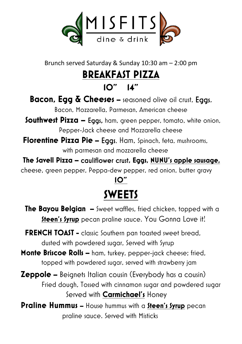

Brunch served Saturday & Sunday 10:30 am – 2:00 pm

# **BREAKFAST PIZZA**

#### **10" 14"**

### **Bacon, Egg & Cheeses –** seasoned olive oil crust, Eggs,

Bacon, Mozzarella, Parmesan, American cheese

**Southwest Pizza –** Eggs, ham, green pepper, tomato, white onion, Pepper-Jack cheese and Mozzarella cheese

**Florentine Pizza Pie –** Eggs, Ham, Spinach, feta, mushrooms, with parmesan and mozzarella cheese

**The Savell Pizza –** cauliflower crust**, Eggs, NUNU's apple sausage,**  cheese, green pepper, Peppa-dew pepper, red onion, butter gravy

### **10" SWEETS**

- **The Bayou Belgian –** Sweet waffles, fried chicken, topped with a **Steen's Syrup** pecan praline sauce. You Gonna Love it!
- **FRENCH TOAST -** classic Southern pan toasted sweet bread. dusted with powdered sugar, Served with Syrup
- **Monte Briscoe Rolls –** ham, turkey, pepper-jack cheese; fried, topped with powdered sugar, served with strawberry jam
- **Zeppole –** Beignets Italian cousin (Everybody has a cousin) Fried dough, Tossed with cinnamon sugar and powdered sugar Served with **Carmichael's** Honey
- **Praline Hummus –** House hummus with a **Steen's Syrup** pecan praline sauce. Served with Misticks